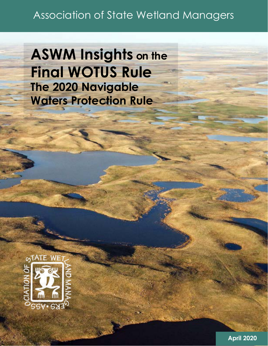# Association of State Wetland Managers

**ASWM Insights on the Final WOTUS Rule The 2020 Navigable Waters Protection Rule** 



**April 2020**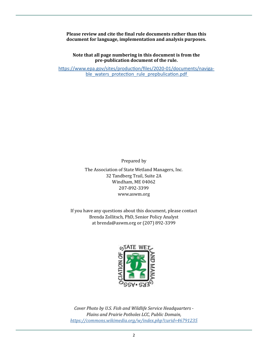**Please review and cite the final rule documents rather than this document for language, implementation and analysis purposes.**

**Note that all page numbering in this document is from the pre-publication document of the rule.**

[https://www.epa.gov/sites/production/files/2020-01/documents/naviga](https://www.epa.gov/sites/production/files/2020-01/documents/navigable_waters_protection_rule_prepbu)ble waters protection rule prepbulication.pdf

Prepared by

The Association of State Wetland Managers, Inc. 32 Tandberg Trail, Suite 2A Windham, ME 04062 207-892-3399 www.aswm.org

If you have any questions about this document, please contact Brenda Zollitsch, PhD, Senior Policy Analyst at brenda@aswm.org or (207) 892-3399



*Cover Photo by U.S. Fish and Wildlife Service Headquarters - Plains and Prairie Potholes LCC, Public Domain, <https://commons.wikimedia.org/w/index.php?curid=46791235>*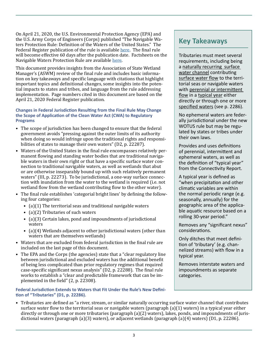On April 21, 2020, the U.S. Environmental Protection Agency (EPA) and the U.S. Army Corps of Engineers (Corps) published "The Navigable Waters Protection Rule: Definition of the Waters of the United States." The Federal Register publication of the rule is available [here](https://www.federalregister.gov/documents/2020/04/21/2020-02500/the-navigable-waters-protection-rule-definition-of-waters-of-the-united-states). The final rule will become effective 60 days after the publication date. Factsheets on the Navigable Waters Protection Rule are available [here](https://www.epa.gov/nwpr/navigable-waters-protection-rule-step-two-revise).

This document provides insights from the Association of State Wetland Manager's (ASWM) review of the final rule and includes basic information on key takeaways and specific language with citations that highlight important topics and definitional changes, some insights into the potential impacts to states and tribes, and language from the rule addressing implementation. Page numbers cited in this document are based on the April 21, 2020 Federal Register publication.

#### **Changes in Federal Jurisdiction Resulting from the Final Rule May Change the Scope of Application of the Clean Water Act (CWA) to Regulatory Programs**

- The scope of jurisdiction has been changed to ensure that the federal government avoids "pressing against the outer limits of its authority when doing so would infringe upon the traditional rights and responsibilities of states to manage their own waters" (D2, p. 22287).
- Waters of the United States in the final rule encompasses relatively permanent flowing and standing water bodies that are traditional navigable waters in their own right or that have a specific surface water connection to traditional navigable waters, as well as wetlands that abut or are otherwise inseparably bound up with such relatively permanent waters" (III, p. 22273). To be jurisdictional, a one-way surface connection with inundation from the water to the wetland is required (i.e. not wetland flow from the wetland contributing flow to the other water).
- The final rule establishes 'categorial bright lines' by defining the following four categories:
	- (a)(1) The territorial seas and traditional navigable waters
	- (a)(2) Tributaries of such waters
	- (a)(3) Certain lakes, pond and impoundments of jurisdictional waters
	- (a)(4) Wetlands adjacent to other jurisdictional waters (other than waters that are themselves wetlands)
- Waters that are excluded from federal jurisdiction in the final rule are included on the last page of this document.
- The EPA and the Corps (the agencies) state that a "clear regulatory line between jurisdictional and excluded waters has the additional benefit of being less complicated than prior regulatory regimes that required case-specific significant nexus analysis" (D2, p. 22288). The final rule works to establish a "clear and predictable framework that can be implemented in the field" (2, p. 22308).

### **Federal Jurisdiction Extends to Waters that Fit Under the Rule's New Definition of "Tributaries" (D1, p. 22286).**

# **Key Takeaways**

Tributaries must meet several requirements, including being a naturally recurring surface water channel contributing surface water flow to the territorial seas or navigable waters with perennial or intermittent flow in a typical year either directly or through one or more specified waters (see p. 2286).

No ephemeral waters are federally jurisdictional under the new WOTUS rule but may be regulated by states or tribes under their own laws.

Provides and uses definitions of perennial, intermittent and ephemeral waters, as well as the definition of "typical year" from the Connectivity Report.

A typical year is defined as "when precipitation and other climatic variables are within the normal periodic range (e.g. seasonally, annually) for the geographic area of the applicable aquatic resource based on a rolling 30-year period."

Removes any "significant nexus" considerations.

Only ditches that meet definition of 'tributary' (e.g. channelized streams) with flow in a typical year.

Removes interstate waters and impoundments as separate categories.

• Tributaries are defined as "a river, stream, or similar naturally occurring surface water channel that contributes surface water flow to the territorial seas or navigable waters (paragraph (a)(1) waters) in a typical year either directly or through one or more tributaries (paragraph (a)(2) waters), lakes, ponds, and impoundments of jurisdictional waters (paragraph (a)(3) waters), or adjacent wetlands (paragraph (a)(4) waters) (D1, p. 22286).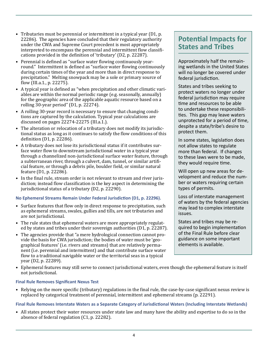- Tributaries must be perennial or intermittent in a typical year (D1, p. 22286). The agencies have concluded that their regulatory authority under the CWA and Supreme Court precedent is most appropriately interpreted to encompass the perennial and intermittent flow classifications provided in the definition of 'tributary' (D2, p. 22287).
- Perennial is defined as "surface water flowing continuously yearround." Intermittent is defined as "surface water flowing continuously during certain times of the year and more than in direct response to precipitation." Melting snowpack may be a sole or primary source of flow (III.a.1., p. 22275).
- A typical year is defined as "when precipitation and other climatic variables are within the normal periodic range (e.g. seasonally, annually) for the geographic area of the applicable aquatic resource based on a rolling 30-year period" (D1, p. 22274).
- A rolling 30-year record is necessary to ensure that changing conditions are captured by the calculation. Typical year calculations are discussed on pages 22274-22275 (III.a.1.).
- The alteration or relocation of a tributary does not modify its jurisdictional status as long as it continues to satisfy the flow conditions of this definition (D1, p. 22286).
- A tributary does not lose its jurisdictional status if it contributes surface water flow to downstream jurisdictional water in a typical year through a channelized non-jurisdictional surface water feature, through a subterranean river, through a culvert, dam, tunnel, or similar artificial feature, or through a debris pile, boulder field, or similar natural feature (D1, p. 22286).
- In the final rule, stream order is not relevant to stream and river jurisdiction; instead flow classification is the key aspect in determining the jurisdictional status of a tributary (D2, p. 22290).

### **No Ephemeral Streams Remain Under Federal Jurisdiction (D1, p. 22296).**

- Surface features that flow only in direct response to precipitation, such as ephemeral streams, swales, gullies and tills, are not tributaries and are not jurisdictional.
- The rule states that ephemeral waters are more appropriately regulated by states and tribes under their sovereign authorities (D1, p. 22287).
- The agencies provide that "a mere hydrological connection cannot provide the basis for CWA jurisdiction; the bodies of water must be 'geographical features' (i.e. rivers and streams) that are relatively permanent (i.e. perennial and intermittent) and that contribute surface water flow to a traditional navigable water or the territorial seas in a typical year (D2, p. 22289).

# **Potential Impacts for States and Tribes**

Approximately half the remaining wetlands in the United States will no longer be covered under federal jurisdiction.

States and tribes seeking to protect waters no longer under federal jurisdiction may require time and resources to be able to undertake these responsibilities. This gap may leave waters unprotected for a period of time, despite a state/tribe's desire to protect them.

In some states, legislation does not allow states to regulate more than federal. If changes to these laws were to be made, they would require time.

Will open up new areas for development and reduce the number or waters requiring certain types of permits.

Loss of interstate management of waters by the federal agencies may lead to complex interstate issues.

States and tribes may be required to begin implementation of the Final Rule before clear guidance on some important elements is available.

• Ephemeral features may still serve to connect jurisdictional waters, even though the ephemeral feature is itself not jurisdictional.

### **Final Rule Removes Significant Nexus Test**

• Relying on the more specific (tributary) regulations in the final rule, the case-by-case significant nexus review is replaced by categorical treatment of perennial, intermittent and ephemeral streams (p. 22291).

### **Final Rule Removes Interstate Waters as a Separate Category of Jurisdictional Waters (Including Interstate Wetlands)**

• All states protect their water resources under state law and many have the ability and expertise to do so in the absence of federal regulation (C1, p. 22282).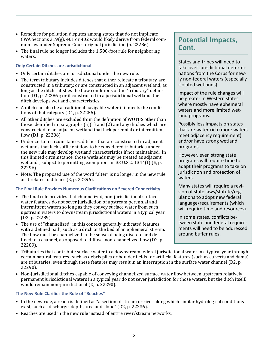- Remedies for pollution disputes among states that do not implicate CWA Sections 319(g), 401 or 402 would likely derive from federal common law under Supreme Court original jurisdiction (p. 22286).
- The final rule no longer includes the 1,500-foot rule for neighboring waters.

### **Only Certain Ditches are Jurisdictional**

- Only certain ditches are jurisdictional under the new rule.
- The term tributary includes ditches that either relocate a tributary, are constructed in a tributary, or are constructed in an adjacent wetland, as long as the ditch satisfies the flow conditions of the "tributary" definition (D1, p. 22286); or if constructed in a jurisdictional wetland, the ditch develops wetland characteristics.
- A ditch can also be a traditional navigable water if it meets the conditions of that category (D1, p. 22286).
- All other ditches are excluded from the definition of WOTUS other than those identified in paragraphs  $(a)(1)$  and  $(2)$  and any ditches which are constructed in an adjacent wetland that lack perennial or intermittent flow (D1, p. 22286).
- Under certain circumstances, ditches that are constructed in adjacent wetlands that lack sufficient flow to be considered tributaries under the new rule may develop wetland characteristics if not maintained. In this limited circumstance, those wetlands may be treated as adjacent wetlands, subject to permitting exemptions in 33 U.S.C. 1344(f) (E, p. 22296).
- Note: The proposed use of the word "alter" is no longer in the new rule as it relates to ditches (E, p. 22296).

### **The Final Rule Provides Numerous Clarifications on Severed Connectivity**

- The final rule provides that channelized, non-jurisdictional surface water features do not sever jurisdiction of upstream perennial and intermittent waters so long as they convey surface water from such upstream waters to downstream jurisdictional waters in a typical year (D2, p. 22289).
- The use of "channelized" in this context generally indicated features with a defined path, such as a ditch or the bed of an ephemeral stream. The flow must be channelized in the sense of being discrete and defined to a channel, as opposed to diffuse, non-channelized flow (D2, p. 22289).

# **Potential Impacts, Cont.**

States and tribes will need to take over jurisdictional determinations from the Corps for newly non-federal waters (especially isolated wetlands).

Impact of the rule changes will be greater in Western states where mostly have ephemeral waters and more limited wetland programs.

Possibly less impacts on states that are water-rich (more waters meet adjacency requirement) and/or have strong wetland programs.

However, even strong state programs will require time to adapt their programs to take on jurisdiction and protection of waters.

Many states will require a revision of state laws/statute/regulations to adopt new federal language/requirements (which will require time and resources).

In some states, conflicts between state and federal requirements will need to be addressed around buffer rules.

- Tributaries that contribute surface water to a downstream federal jurisdictional water in a typical year through certain natural features (such as debris piles or boulder fields) or artificial features (such as culverts and dams) are tributaries, even though these features may result in an interruption in the surface water channel (D2, p. 22290).
- Non-jurisdictional ditches capable of conveying channelized surface water flow between upstream relatively permanent jurisdictional waters in a typical year do not sever jurisdiction for those waters, but the ditch itself, would remain non-jurisdictional (D, p. 22290).

### **The New Rule Clarifies the Role of "Reaches"**

- In the new rule, a reach is defined as "a section of stream or river along which similar hydrological conditions exist, such as discharge, depth, area and slope" (D2, p. 22236).
- Reaches are used in the new rule instead of entire river/stream networks.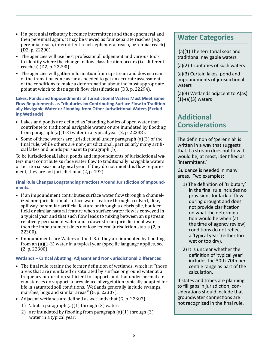- If a perennial tributary becomes intermittent and then ephemeral and then perennial again, it may be viewed as four separate reaches (e.g. perennial reach, intermittent reach, ephemeral reach, perennial reach) (D2, p. 22290).
- The agencies will use best professional judgement and various tools to identify where the change in flow classification occurs (i.e. different reaches) (D2, p. 22290).
- The agencies will gather information from upstream and downstream of the transition zone as far as needed to get an accurate assessment of the conditions to make a determination about the most appropriate point at which to distinguish flow classifications (D3, p. 22294).

**Lakes, Ponds and Impoundments of Jurisdictional Waters Must Meet Same Flow Requirements as Tributaries by Contributing Surface Flow to Traditionally Navigable Water or Flooding from Other Jurisdictional Waters (Excluding Wetlands)**

- Lakes and ponds are defined as "standing bodies of open water that contribute to traditional navigable waters or are inundated by flooding from paragraph (a)(1-3) water in a typical year (2, p. 22238).
- Some of these waters are jurisdictional under paragraph (a)(3) of the final rule, while others are non-jurisdictional, particularly many artificial lakes and ponds pursuant to paragraph (b).

To be jurisdictional, lakes, ponds and impoundments of jurisdictional waters must contribute surface water flow to traditionally navigable waters or territorial seas in a typical year. If they do not meet this flow requirement, they are not jurisdictional (2, p. 192).

**Final Rule Changes Longstanding Practices Around Jurisdiction of Impoundments.**

- If an impoundment contributes surface water flow through a channelized non-jurisdictional surface water feature through a culvert, dike, spillway, or similar artificial feature or through a debris pile, boulder field or similar natural feature when surface water flow is conveyed in a typical year and that such flow leads to mixing between an upstream relatively permanent water and a downstream jurisdictional water then the impoundment does not lose federal jurisdiction status (2, p. 22300).
- Impoundments are Waters of the U.S. if they are inundated by flooding from an (a)(1-3) water in a typical year (specific language applies, see (2, p. 22300).

### **Wetlands – Critical Abutting, Adjacent and Non-Jurisdictional Differences**

- The final rule retains the former definition of wetlands, which is: "those areas that are inundated or saturated by surface or ground water at a frequency or duration sufficient to support, and that under normal circumstances do support, a prevalence of vegetation typically adapted for life in saturated soil conditions. Wetlands generally include swamps, marshes, bogs and similar areas." (G, p. 22307).
- Adjacent wetlands are defined as wetlands that (G, p. 22307):
	- 1) 'abut' a paragraph (a)(1) through (3) water;
	- 2) are inundated by flooding from paragraph (a)(1) through (3) water in a typical year;

### **Water Categories**

 (a)(1) The territorial seas and traditional navigable waters

(a)(2) Tributaries of such waters

(a)(3) Certain lakes, pond and impoundments of jurisdictional waters

(a)(4) Wetlands adjacent to A(as) (1)-(a)(3) waters

## **Additional Considerations**

The definition of 'perennial' is written in a way that suggests that if a stream does not flow it would be, at most, identified as 'intermittent.'

Guidance is needed in many areas. Two examples:

- 1) The definition of 'tributary' in the final rule includes no provisions for lack of flow during drought and does not provide clarification on what the determination would be when (at the time of agency review) conditions do not reflect a 'typical year' (either too wet or too dry).
- 2) It is unclear whether the definition of 'typical year' includes the 30th-70th percentile range as part of the calculation.

If states and tribes are planning to fill gaps in jurisdiction, considerations should include that groundwater connections are not recognized in the final rule.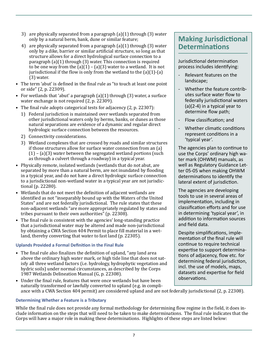- 3) are physically separated from a paragraph (a)(1) through (3) water only by a natural berm, bank, dune or similar feature;
- 4) are physically separated from a paragraph (a)(1) through (3) water only by a dike, barrier or similar artificial structure, so long as that structure allows for a direct hydrological surface connection to a paragraph (a)(1) through (3) water. This connection is required to be one way from the  $(a)(1) - (a)(3)$  water to a wetland. It is not jurisdictional if the flow is only from the wetland to the  $(a)(1)-(a)$ (3) water.
- The term 'abut' is defined in the final rule as "to touch at least one point or side" (2, p. 22309).
- For wetlands that 'abut' a paragraph (a)(1) through (3) water, a surface water exchange is not required (2, p. 22309).
- The final rule adopts categorical tests for adjacency (2, p. 22307):
	- 1) Federal jurisdiction is maintained over wetlands separated from other jurisdictional waters only by berms, banks, or dunes as those natural separations are evidence of a dynamic and regular direct hydrologic surface connection between the resources.
	- 2) Connectivity considerations.
	- 3) Wetland complexes that are crossed by roads and similar structures if those structures allow for surface water connection from an (a)  $(1)$  –  $(a)(3)$  water between the segregated wetland portions (such as through a culvert through a roadway) in a typical year.
- Physically remote, isolated wetlands (wetlands that do not abut, are separated by more than a natural berm, are not inundated by flooding in a typical year, and do not have a direct hydrologic surface connection to a jurisdictional non-wetland water in a typical year are not jurisdictional (p. 22280).
- Wetlands that do not meet the definition of adjacent wetlands are identified as not "inseparably bound up with the Waters of the United States" and are not federally jurisdictional. The rule states that these non-adjacent wetlands "are more appropriately regulated by states and tribes pursuant to their own authorities" (p. 22308).
- The final rule is consistent with the agencies' long-standing practice that a jurisdictional water may be altered and made non-jurisdictional by obtaining a CWA Section 404 Permit to place fill material in a wetland, thereby converting that water to fast land (p. 22305).

### **Uplands Provided a Formal Definition in the Final Rule**

- The final rule also finalizes the definition of upland, "any land area above the ordinary high water mark, or high tide line that does not satisfy all three wetland factors (i.e. hydrology, hydrophytic vegetation and hydric soils) under normal circumstances, as described by the Corps 1987 Wetlands Delineation Manual (G, p. 22308).
- Under the final rule, features that were once wetlands but have been naturally transformed or lawfully converted to upland (e.g. in compliance with a CWA Section 404 permit) are considered upland and are not federally jurisdictional (2, p. 22308).

### **Determining Whether a Feature is a Tributary**

While the final rule does not provide any formal methodology for determining flow regime in the field, it does include information on the steps that will need to be taken to make determinations. The final rule indicates that the Corps will have a major role in making these determinations. Highlights of these steps are listed below:

# **Making Jurisdictional Determinations**

Jurisdictional determination process includes identifying:

- Relevant features on the landscape;
- Whether the feature contributes surface water flow to federally jurisdictional waters (a)(2-4) in a typical year to determine flow path;
- Flow classification; and
- Whether climatic conditions represent conditions in a 'typical year'.

The agencies plan to continue to use the Corps' ordinary high water mark (OHWM) manuals, as well as Regulatory Guidance Letter 05-05 when making OHWM determinations to identify the lateral extent of jurisdiction.

The agencies are developing tools to use in several areas of implementation, including in classification efforts and for use in determining 'typical year', in addition to information sources and field data.

Despite simplifications, implementation of the final rule will continue to require technical expertise to support determinations of adjacency, flow etc. for determining federal jurisdiction, incl. the use of models, maps, datasets and expertise for field observations.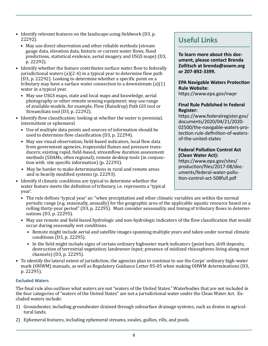- Identify relevant features on the landscape using fieldwork (D3, p. 22292).
	- May use direct observation and other reliable methods (stream gauge data, elevation data, historic or current water flows, flood predictions, statistical evidence, aerial imagery and USGS maps) (D3, p. 22292).
- Identify whether the feature contributes surface water flow to federally jurisdictional waters (a)(2-4) in a typical year to determine flow path (D3, p. 22292). Looking to determine whether a specific point on a tributary may have a surface water connection to a downstream (a)(1) water in a typical year.
	- May use USGS maps, state and local maps and knowledge, aerial photography or other remote sensing equipment; may use range of available models, for example, Flow (Raindrop) Path GIS tool or StreamStats tool (D3, p. 22292).
- Identify flow classification: looking at whether the water is perennial, intermittent or ephemeral.
	- Use of multiple data points and sources of information should be used to determine flow classification (D3, p. 22294).
	- May use visual observation; field-based indicators, local flow data from government agencies, trapezoidal flumes and pressure transducers; existing rapid, field-based, streamflow duration assessment methods (SDAMs, often regional); remote desktop tools (in conjunction with site specific information) (p. 22293).
	- May be harder to make determinations in rural and remote areas and in heavily modified systems (p. 22293).
- Identify if climatic conditions are typical to determine whether the water feature meets the definition of tributary, i.e. represents a 'typical year'.

# **Useful Links**

**To learn more about this document, please contact Brenda Zollitsch at brenda@aswm.org or 207-892-3399.** 

### **EPA Navigable Waters Protection Rule Website:**

https://www.epa.gov/nwpr

#### **Final Rule Published in Federal Register:**

https://www.federalregister.gov/ documents/2020/04/21/2020- 02500/the-navigable-waters-protection-rule-definition-of-watersof-the-united-states

### **Federal Pollution Control Act (Clean Water Act):**

https://www.epa.gov/sites/ production/files/2017-08/documents/federal-water-pollution-control-act-508full.pdf

- The rule defines 'typical year' as: "when precipitation and other climatic variables are within the normal periodic range (e.g. seasonally, annually) for the geographic area of the applicable aquatic resource based on a rolling thirty-year period" (D3, p. 22295). Must consider seasonality and timing of tributary flows in determinations (D3, p. 22295).
- May use remote and field-based hydrologic and non-hydrologic indicators of the flow classification that would occur during seasonally wet conditions.
	- Remote might include aerial and satellite images spanning multiple years and taken under normal climatic conditions (D3, p. 22295).
	- In the field might include signs of certain ordinary highwater mark indicators (point bars, drift deposits, destruction of terrestrial vegetation; landowner input; presence of oxidized rhizospheres living along root channels) (D3, p. 22295).
- To identify the lateral extent of jurisdiction, the agencies plan to continue to use the Corps' ordinary high-water mark (OHWM) manuals, as well as Regulatory Guidance Letter 05-05 when making OHWM determinations (D3, p. 22295).

### **Excluded Waters**

The final rule also outlines what waters are not "waters of the United States." Waterbodies that are not included in the four categories of "waters of the United States" are not a jurisdictional water under the Clean Water Act. Excluded waters include:

- 1) Groundwater, including groundwater drained through subsurface drainage systems, such as drains in agricultural lands.
- 2) Ephemeral features, including ephemeral streams, swales, gullies, rills, and pools.